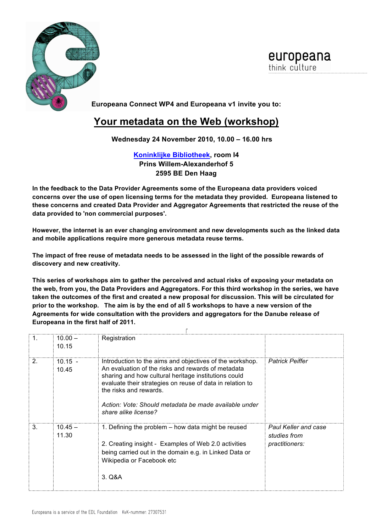

europeana think culture

**Europeana Connect WP4 and Europeana v1 invite you to:**

## **Your metadata on the Web (workshop)**

**Wednesday 24 November 2010, 10.00 – 16.00 hrs**

**Koninklijke Bibliotheek, room I4 Prins Willem-Alexanderhof 5 2595 BE Den Haag**

**In the feedback to the Data Provider Agreements some of the Europeana data providers voiced concerns over the use of open licensing terms for the metadata they provided. Europeana listened to these concerns and created Data Provider and Aggregator Agreements that restricted the reuse of the data provided to 'non commercial purposes'.**

**However, the internet is an ever changing environment and new developments such as the linked data and mobile applications require more generous metadata reuse terms.**

**The impact of free reuse of metadata needs to be assessed in the light of the possible rewards of discovery and new creativity.**

**This series of workshops aim to gather the perceived and actual risks of exposing your metadata on the web, from you, the Data Providers and Aggregators. For this third workshop in the series, we have taken the outcomes of the first and created a new proposal for discussion. This will be circulated for prior to the workshop. The aim is by the end of all 5 workshops to have a new version of the Agreements for wide consultation with the providers and aggregators for the Danube release of Europeana in the first half of 2011.**

| -1.            | $10.00 -$<br>10.15 | Registration                                                                                                                                                                                                                                                                                                                                   |                                                               |  |  |  |
|----------------|--------------------|------------------------------------------------------------------------------------------------------------------------------------------------------------------------------------------------------------------------------------------------------------------------------------------------------------------------------------------------|---------------------------------------------------------------|--|--|--|
| 2 <sub>1</sub> | $10.15 -$<br>10.45 | Introduction to the aims and objectives of the workshop.<br>An evaluation of the risks and rewards of metadata<br>sharing and how cultural heritage institutions could<br>evaluate their strategies on reuse of data in relation to<br>the risks and rewards.<br>Action: Vote: Should metadata be made available under<br>share alike license? | <b>Patrick Peiffer</b>                                        |  |  |  |
| $\mathbf{3}$   | $10.45 -$<br>11.30 | 1. Defining the problem – how data might be reused<br>2. Creating insight - Examples of Web 2.0 activities<br>being carried out in the domain e.g. in Linked Data or<br>Wikipedia or Facebook etc<br>3. Q&A                                                                                                                                    | <b>Paul Keller and case</b><br>studies from<br>practitioners: |  |  |  |